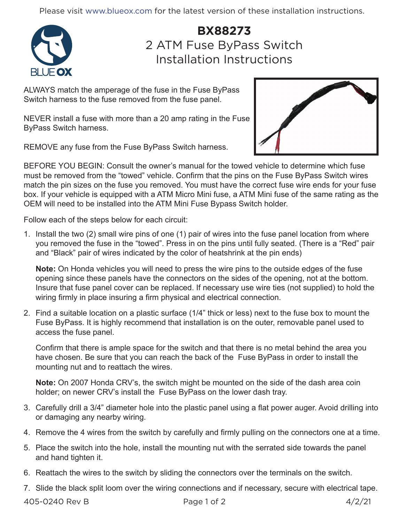Please visit www.blueox.com for the latest version of these installation instructions.



## **BX88273** 2 ATM Fuse ByPass Switch Installation Instructions

ALWAYS match the amperage of the fuse in the Fuse ByPass Switch harness to the fuse removed from the fuse panel.

NEVER install a fuse with more than a 20 amp rating in the Fuse ByPass Switch harness.

REMOVE any fuse from the Fuse ByPass Switch harness.



BEFORE YOU BEGIN: Consult the owner's manual for the towed vehicle to determine which fuse must be removed from the "towed" vehicle. Confirm that the pins on the Fuse ByPass Switch wires match the pin sizes on the fuse you removed. You must have the correct fuse wire ends for your fuse box. If your vehicle is equipped with a ATM Micro Mini fuse, a ATM Mini fuse of the same rating as the OEM will need to be installed into the ATM Mini Fuse Bypass Switch holder.

Follow each of the steps below for each circuit:

1. Install the two (2) small wire pins of one (1) pair of wires into the fuse panel location from where you removed the fuse in the "towed". Press in on the pins until fully seated. (There is a "Red" pair and "Black" pair of wires indicated by the color of heatshrink at the pin ends)

**Note:** On Honda vehicles you will need to press the wire pins to the outside edges of the fuse opening since these panels have the connectors on the sides of the opening, not at the bottom. Insure that fuse panel cover can be replaced. If necessary use wire ties (not supplied) to hold the wiring firmly in place insuring a firm physical and electrical connection.

2. Find a suitable location on a plastic surface (1/4" thick or less) next to the fuse box to mount the Fuse ByPass. It is highly recommend that installation is on the outer, removable panel used to access the fuse panel.

Confirm that there is ample space for the switch and that there is no metal behind the area you have chosen. Be sure that you can reach the back of the Fuse ByPass in order to install the mounting nut and to reattach the wires.

**Note:** On 2007 Honda CRV's, the switch might be mounted on the side of the dash area coin holder; on newer CRV's install the Fuse ByPass on the lower dash tray.

- 3. Carefully drill a 3/4" diameter hole into the plastic panel using a flat power auger. Avoid drilling into or damaging any nearby wiring.
- 4. Remove the 4 wires from the switch by carefully and firmly pulling on the connectors one at a time.
- 5. Place the switch into the hole, install the mounting nut with the serrated side towards the panel and hand tighten it.
- 6. Reattach the wires to the switch by sliding the connectors over the terminals on the switch.
- 7. Slide the black split loom over the wiring connections and if necessary, secure with electrical tape.

405-0240 Rev B Page 1 of 2 4/2/21